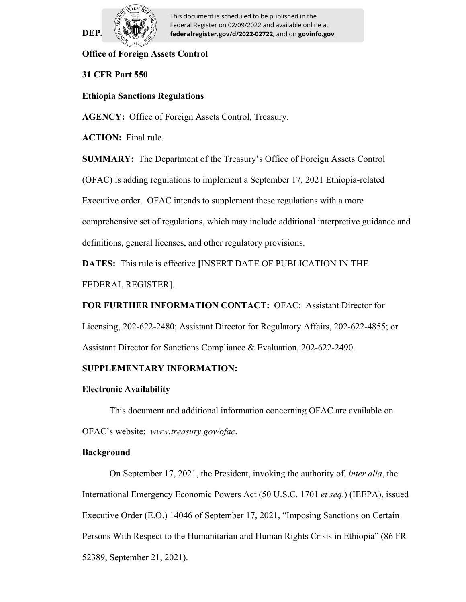

 $\text{DEP} \quad \text{[2]} \quad \text{[rederalregister.gov/d/2022-02722]}$  and on **govinfo.gov** This document is scheduled to be published in the Federal Register on 02/09/2022 and available online at

## **Office of Foreign Assets Control**

## **31 CFR Part 550**

## **Ethiopia Sanctions Regulations**

**AGENCY:** Office of Foreign Assets Control, Treasury.

**ACTION:** Final rule.

**SUMMARY:** The Department of the Treasury's Office of Foreign Assets Control

(OFAC) is adding regulations to implement a September 17, 2021 Ethiopia-related

Executive order. OFAC intends to supplement these regulations with a more

comprehensive set of regulations, which may include additional interpretive guidance and

definitions, general licenses, and other regulatory provisions.

**DATES:** This rule is effective **[**INSERT DATE OF PUBLICATION IN THE

FEDERAL REGISTER].

**FOR FURTHER INFORMATION CONTACT:** OFAC: Assistant Director for

Licensing, 202-622-2480; Assistant Director for Regulatory Affairs, 202-622-4855; or

Assistant Director for Sanctions Compliance & Evaluation, 202-622-2490.

## **SUPPLEMENTARY INFORMATION:**

#### **Electronic Availability**

This document and additional information concerning OFAC are available on OFAC's website: *www.treasury.gov/ofac*.

#### **Background**

On September 17, 2021, the President, invoking the authority of, *inter alia*, the International Emergency Economic Powers Act (50 U.S.C. 1701 *et seq*.) (IEEPA), issued Executive Order (E.O.) 14046 of September 17, 2021, "Imposing Sanctions on Certain Persons With Respect to the Humanitarian and Human Rights Crisis in Ethiopia" (86 FR 52389, September 21, 2021).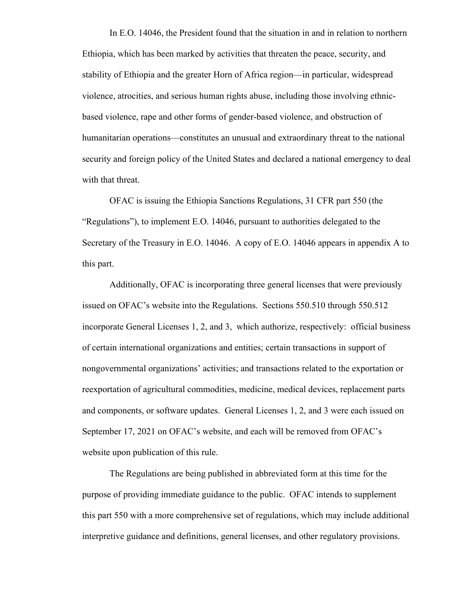In E.O. 14046, the President found that the situation in and in relation to northern Ethiopia, which has been marked by activities that threaten the peace, security, and stability of Ethiopia and the greater Horn of Africa region—in particular, widespread violence, atrocities, and serious human rights abuse, including those involving ethnicbased violence, rape and other forms of gender-based violence, and obstruction of humanitarian operations—constitutes an unusual and extraordinary threat to the national security and foreign policy of the United States and declared a national emergency to deal with that threat.

OFAC is issuing the Ethiopia Sanctions Regulations, 31 CFR part 550 (the "Regulations"), to implement E.O. 14046, pursuant to authorities delegated to the Secretary of the Treasury in E.O. 14046. A copy of E.O. 14046 appears in appendix A to this part.

Additionally, OFAC is incorporating three general licenses that were previously issued on OFAC's website into the Regulations. Sections 550.510 through 550.512 incorporate General Licenses 1, 2, and 3, which authorize, respectively: official business of certain international organizations and entities; certain transactions in support of nongovernmental organizations' activities; and transactions related to the exportation or reexportation of agricultural commodities, medicine, medical devices, replacement parts and components, or software updates. General Licenses 1, 2, and 3 were each issued on September 17, 2021 on OFAC's website, and each will be removed from OFAC's website upon publication of this rule.

The Regulations are being published in abbreviated form at this time for the purpose of providing immediate guidance to the public. OFAC intends to supplement this part 550 with a more comprehensive set of regulations, which may include additional interpretive guidance and definitions, general licenses, and other regulatory provisions.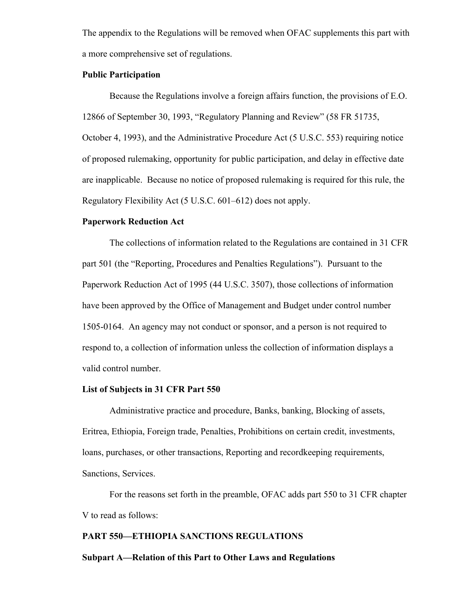The appendix to the Regulations will be removed when OFAC supplements this part with a more comprehensive set of regulations.

## **Public Participation**

Because the Regulations involve a foreign affairs function, the provisions of E.O. 12866 of September 30, 1993, "Regulatory Planning and Review" (58 FR 51735, October 4, 1993), and the Administrative Procedure Act (5 U.S.C. 553) requiring notice of proposed rulemaking, opportunity for public participation, and delay in effective date are inapplicable. Because no notice of proposed rulemaking is required for this rule, the Regulatory Flexibility Act (5 U.S.C. 601–612) does not apply.

#### **Paperwork Reduction Act**

The collections of information related to the Regulations are contained in 31 CFR part 501 (the "Reporting, Procedures and Penalties Regulations"). Pursuant to the Paperwork Reduction Act of 1995 (44 U.S.C. 3507), those collections of information have been approved by the Office of Management and Budget under control number 1505-0164. An agency may not conduct or sponsor, and a person is not required to respond to, a collection of information unless the collection of information displays a valid control number.

#### **List of Subjects in 31 CFR Part 550**

Administrative practice and procedure, Banks, banking, Blocking of assets, Eritrea, Ethiopia, Foreign trade, Penalties, Prohibitions on certain credit, investments, loans, purchases, or other transactions, Reporting and recordkeeping requirements, Sanctions, Services.

For the reasons set forth in the preamble, OFAC adds part 550 to 31 CFR chapter V to read as follows:

## **PART 550—ETHIOPIA SANCTIONS REGULATIONS**

#### **Subpart A—Relation of this Part to Other Laws and Regulations**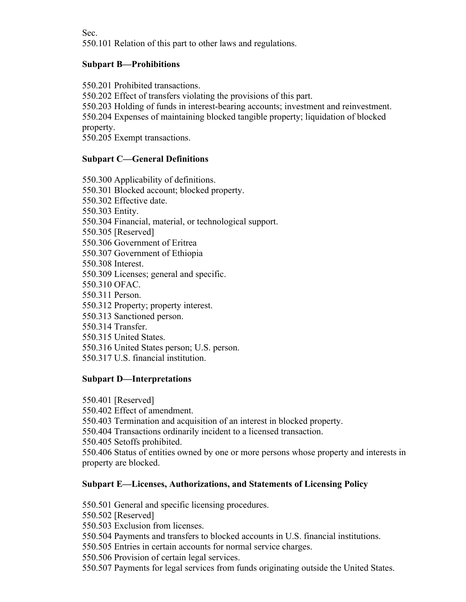Sec.

550.101 Relation of this part to other laws and regulations.

## **Subpart B—Prohibitions**

550.201 Prohibited transactions.

550.202 Effect of transfers violating the provisions of this part.

550.203 Holding of funds in interest-bearing accounts; investment and reinvestment.

550.204 Expenses of maintaining blocked tangible property; liquidation of blocked property.

550.205 Exempt transactions.

## **Subpart C—General Definitions**

550.300 Applicability of definitions. 550.301 Blocked account; blocked property. 550.302 Effective date. 550.303 Entity. 550.304 Financial, material, or technological support. 550.305 [Reserved] 550.306 Government of Eritrea 550.307 Government of Ethiopia 550.308 Interest. 550.309 Licenses; general and specific. 550.310 OFAC. 550.311 Person. 550.312 Property; property interest. 550.313 Sanctioned person. 550.314 Transfer. 550.315 United States. 550.316 United States person; U.S. person.

550.317 U.S. financial institution.

## **Subpart D—Interpretations**

550.401 [Reserved]

550.402 Effect of amendment.

550.403 Termination and acquisition of an interest in blocked property.

550.404 Transactions ordinarily incident to a licensed transaction.

550.405 Setoffs prohibited.

550.406 Status of entities owned by one or more persons whose property and interests in property are blocked.

## **Subpart E—Licenses, Authorizations, and Statements of Licensing Policy**

550.501 General and specific licensing procedures.

550.502 [Reserved]

550.503 Exclusion from licenses.

550.504 Payments and transfers to blocked accounts in U.S. financial institutions.

550.505 Entries in certain accounts for normal service charges.

550.506 Provision of certain legal services.

550.507 Payments for legal services from funds originating outside the United States.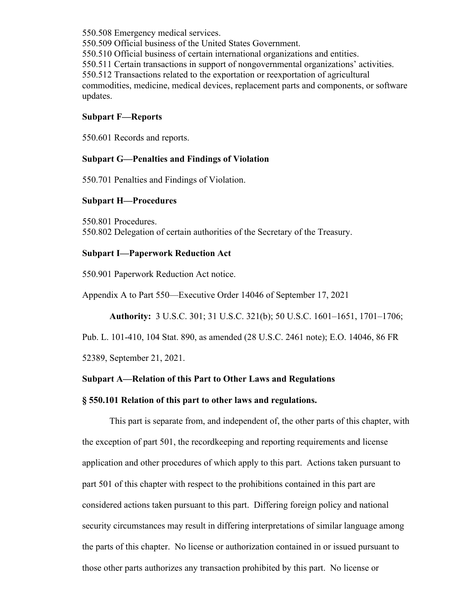550.508 Emergency medical services. 550.509 Official business of the United States Government. 550.510 Official business of certain international organizations and entities. 550.511 Certain transactions in support of nongovernmental organizations' activities. 550.512 Transactions related to the exportation or reexportation of agricultural commodities, medicine, medical devices, replacement parts and components, or software updates.

## **Subpart F—Reports**

550.601 Records and reports.

## **Subpart G—Penalties and Findings of Violation**

550.701 Penalties and Findings of Violation.

## **Subpart H—Procedures**

550.801 Procedures. 550.802 Delegation of certain authorities of the Secretary of the Treasury.

## **Subpart I—Paperwork Reduction Act**

550.901 Paperwork Reduction Act notice.

Appendix A to Part 550—Executive Order 14046 of September 17, 2021

**Authority:** 3 U.S.C. 301; 31 U.S.C. 321(b); 50 U.S.C. 1601–1651, 1701–1706;

Pub. L. 101-410, 104 Stat. 890, as amended (28 U.S.C. 2461 note); E.O. 14046, 86 FR

52389, September 21, 2021.

## **Subpart A—Relation of this Part to Other Laws and Regulations**

#### **§ 550.101 Relation of this part to other laws and regulations.**

This part is separate from, and independent of, the other parts of this chapter, with the exception of part 501, the recordkeeping and reporting requirements and license application and other procedures of which apply to this part. Actions taken pursuant to part 501 of this chapter with respect to the prohibitions contained in this part are considered actions taken pursuant to this part. Differing foreign policy and national security circumstances may result in differing interpretations of similar language among the parts of this chapter. No license or authorization contained in or issued pursuant to those other parts authorizes any transaction prohibited by this part. No license or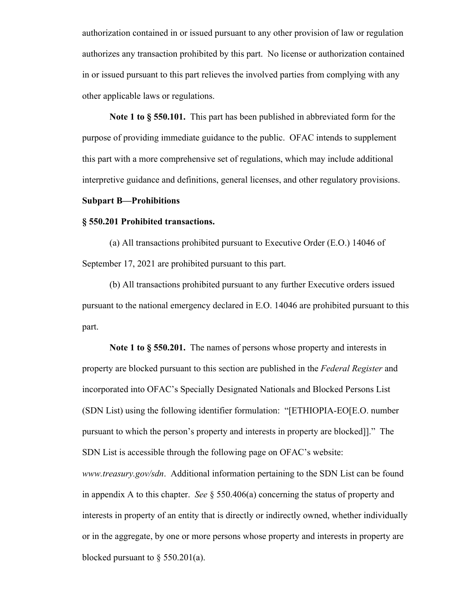authorization contained in or issued pursuant to any other provision of law or regulation authorizes any transaction prohibited by this part. No license or authorization contained in or issued pursuant to this part relieves the involved parties from complying with any other applicable laws or regulations.

**Note 1 to § 550.101.** This part has been published in abbreviated form for the purpose of providing immediate guidance to the public. OFAC intends to supplement this part with a more comprehensive set of regulations, which may include additional interpretive guidance and definitions, general licenses, and other regulatory provisions.

#### **Subpart B—Prohibitions**

#### **§ 550.201 Prohibited transactions.**

(a) All transactions prohibited pursuant to Executive Order (E.O.) 14046 of September 17, 2021 are prohibited pursuant to this part.

(b) All transactions prohibited pursuant to any further Executive orders issued pursuant to the national emergency declared in E.O. 14046 are prohibited pursuant to this part.

**Note 1 to § 550.201.** The names of persons whose property and interests in property are blocked pursuant to this section are published in the *Federal Register* and incorporated into OFAC's Specially Designated Nationals and Blocked Persons List (SDN List) using the following identifier formulation: "[ETHIOPIA-EO[E.O. number pursuant to which the person's property and interests in property are blocked]]." The SDN List is accessible through the following page on OFAC's website: *www.treasury.gov/sdn*. Additional information pertaining to the SDN List can be found in appendix A to this chapter. *See* § 550.406(a) concerning the status of property and interests in property of an entity that is directly or indirectly owned, whether individually or in the aggregate, by one or more persons whose property and interests in property are blocked pursuant to  $\S$  550.201(a).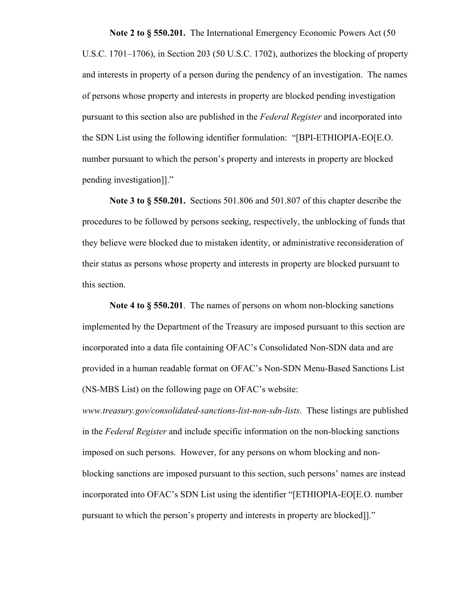**Note 2 to § 550.201.** The International Emergency Economic Powers Act (50 U.S.C. 1701–1706), in Section 203 (50 U.S.C. 1702), authorizes the blocking of property and interests in property of a person during the pendency of an investigation. The names of persons whose property and interests in property are blocked pending investigation pursuant to this section also are published in the *Federal Register* and incorporated into the SDN List using the following identifier formulation: "[BPI-ETHIOPIA-EO[E.O. number pursuant to which the person's property and interests in property are blocked pending investigation]]."

**Note 3 to § 550.201.** Sections 501.806 and 501.807 of this chapter describe the procedures to be followed by persons seeking, respectively, the unblocking of funds that they believe were blocked due to mistaken identity, or administrative reconsideration of their status as persons whose property and interests in property are blocked pursuant to this section.

**Note 4 to § 550.201**. The names of persons on whom non-blocking sanctions implemented by the Department of the Treasury are imposed pursuant to this section are incorporated into a data file containing OFAC's Consolidated Non-SDN data and are provided in a human readable format on OFAC's Non-SDN Menu-Based Sanctions List (NS-MBS List) on the following page on OFAC's website:

*www.treasury.gov/consolidated-sanctions-list-non-sdn-lists*. These listings are published in the *Federal Register* and include specific information on the non-blocking sanctions imposed on such persons. However, for any persons on whom blocking and nonblocking sanctions are imposed pursuant to this section, such persons' names are instead incorporated into OFAC's SDN List using the identifier "[ETHIOPIA-EO[E.O. number pursuant to which the person's property and interests in property are blocked]]."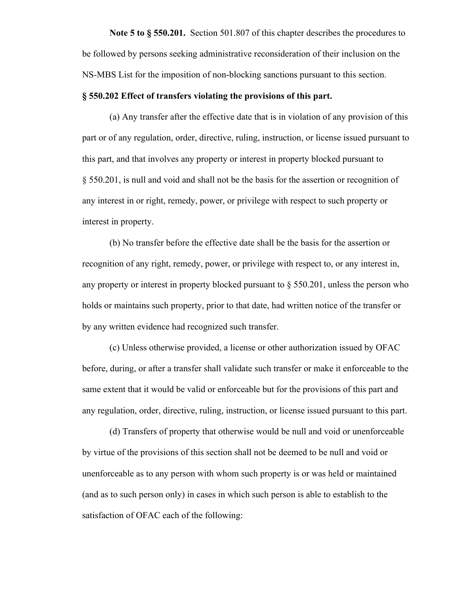**Note 5 to § 550.201.** Section 501.807 of this chapter describes the procedures to be followed by persons seeking administrative reconsideration of their inclusion on the NS-MBS List for the imposition of non-blocking sanctions pursuant to this section.

## **§ 550.202 Effect of transfers violating the provisions of this part.**

(a) Any transfer after the effective date that is in violation of any provision of this part or of any regulation, order, directive, ruling, instruction, or license issued pursuant to this part, and that involves any property or interest in property blocked pursuant to § 550.201, is null and void and shall not be the basis for the assertion or recognition of any interest in or right, remedy, power, or privilege with respect to such property or interest in property.

(b) No transfer before the effective date shall be the basis for the assertion or recognition of any right, remedy, power, or privilege with respect to, or any interest in, any property or interest in property blocked pursuant to  $\S$  550.201, unless the person who holds or maintains such property, prior to that date, had written notice of the transfer or by any written evidence had recognized such transfer.

(c) Unless otherwise provided, a license or other authorization issued by OFAC before, during, or after a transfer shall validate such transfer or make it enforceable to the same extent that it would be valid or enforceable but for the provisions of this part and any regulation, order, directive, ruling, instruction, or license issued pursuant to this part.

(d) Transfers of property that otherwise would be null and void or unenforceable by virtue of the provisions of this section shall not be deemed to be null and void or unenforceable as to any person with whom such property is or was held or maintained (and as to such person only) in cases in which such person is able to establish to the satisfaction of OFAC each of the following: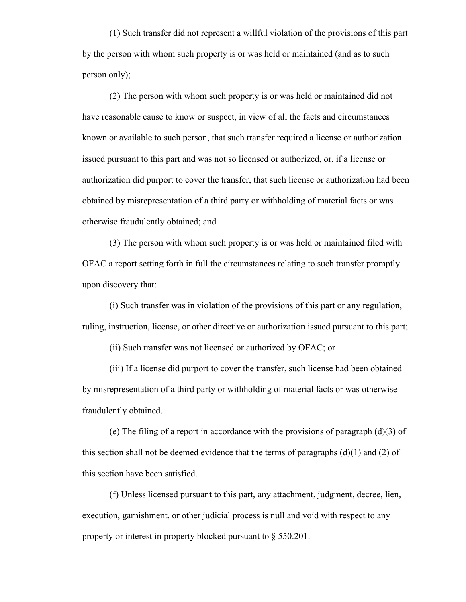(1) Such transfer did not represent a willful violation of the provisions of this part by the person with whom such property is or was held or maintained (and as to such person only);

(2) The person with whom such property is or was held or maintained did not have reasonable cause to know or suspect, in view of all the facts and circumstances known or available to such person, that such transfer required a license or authorization issued pursuant to this part and was not so licensed or authorized, or, if a license or authorization did purport to cover the transfer, that such license or authorization had been obtained by misrepresentation of a third party or withholding of material facts or was otherwise fraudulently obtained; and

(3) The person with whom such property is or was held or maintained filed with OFAC a report setting forth in full the circumstances relating to such transfer promptly upon discovery that:

(i) Such transfer was in violation of the provisions of this part or any regulation, ruling, instruction, license, or other directive or authorization issued pursuant to this part;

(ii) Such transfer was not licensed or authorized by OFAC; or

(iii) If a license did purport to cover the transfer, such license had been obtained by misrepresentation of a third party or withholding of material facts or was otherwise fraudulently obtained.

(e) The filing of a report in accordance with the provisions of paragraph (d)(3) of this section shall not be deemed evidence that the terms of paragraphs  $(d)(1)$  and  $(2)$  of this section have been satisfied.

(f) Unless licensed pursuant to this part, any attachment, judgment, decree, lien, execution, garnishment, or other judicial process is null and void with respect to any property or interest in property blocked pursuant to § 550.201.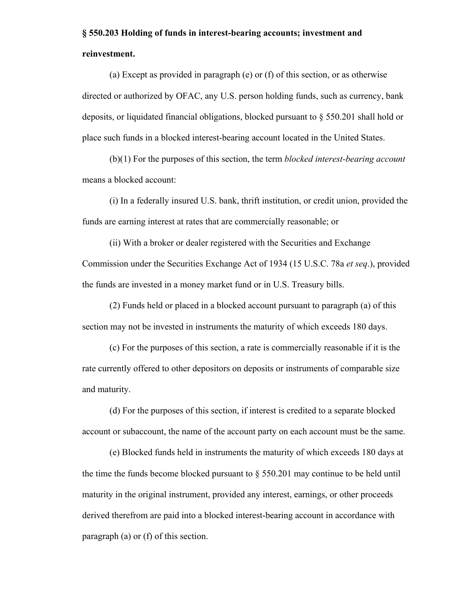# **§ 550.203 Holding of funds in interest-bearing accounts; investment and reinvestment.**

(a) Except as provided in paragraph (e) or (f) of this section, or as otherwise directed or authorized by OFAC, any U.S. person holding funds, such as currency, bank deposits, or liquidated financial obligations, blocked pursuant to § 550.201 shall hold or place such funds in a blocked interest-bearing account located in the United States.

(b)(1) For the purposes of this section, the term *blocked interest-bearing account* means a blocked account:

(i) In a federally insured U.S. bank, thrift institution, or credit union, provided the funds are earning interest at rates that are commercially reasonable; or

(ii) With a broker or dealer registered with the Securities and Exchange Commission under the Securities Exchange Act of 1934 (15 U.S.C. 78a *et seq*.), provided the funds are invested in a money market fund or in U.S. Treasury bills.

(2) Funds held or placed in a blocked account pursuant to paragraph (a) of this section may not be invested in instruments the maturity of which exceeds 180 days.

(c) For the purposes of this section, a rate is commercially reasonable if it is the rate currently offered to other depositors on deposits or instruments of comparable size and maturity.

(d) For the purposes of this section, if interest is credited to a separate blocked account or subaccount, the name of the account party on each account must be the same.

(e) Blocked funds held in instruments the maturity of which exceeds 180 days at the time the funds become blocked pursuant to § 550.201 may continue to be held until maturity in the original instrument, provided any interest, earnings, or other proceeds derived therefrom are paid into a blocked interest-bearing account in accordance with paragraph (a) or (f) of this section.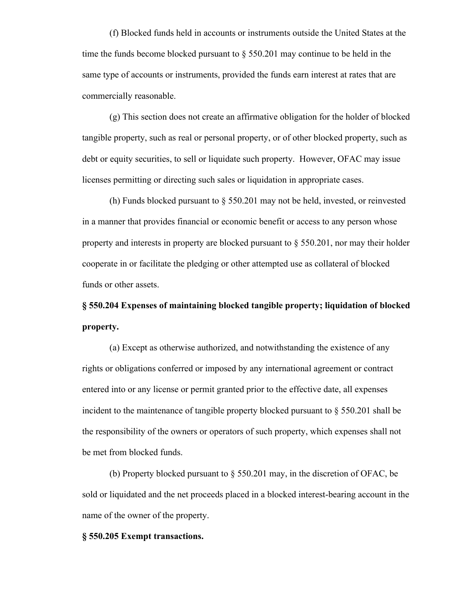(f) Blocked funds held in accounts or instruments outside the United States at the time the funds become blocked pursuant to  $\S 550.201$  may continue to be held in the same type of accounts or instruments, provided the funds earn interest at rates that are commercially reasonable.

(g) This section does not create an affirmative obligation for the holder of blocked tangible property, such as real or personal property, or of other blocked property, such as debt or equity securities, to sell or liquidate such property. However, OFAC may issue licenses permitting or directing such sales or liquidation in appropriate cases.

(h) Funds blocked pursuant to § 550.201 may not be held, invested, or reinvested in a manner that provides financial or economic benefit or access to any person whose property and interests in property are blocked pursuant to  $\S$  550.201, nor may their holder cooperate in or facilitate the pledging or other attempted use as collateral of blocked funds or other assets.

**§ 550.204 Expenses of maintaining blocked tangible property; liquidation of blocked property.**

(a) Except as otherwise authorized, and notwithstanding the existence of any rights or obligations conferred or imposed by any international agreement or contract entered into or any license or permit granted prior to the effective date, all expenses incident to the maintenance of tangible property blocked pursuant to § 550.201 shall be the responsibility of the owners or operators of such property, which expenses shall not be met from blocked funds.

(b) Property blocked pursuant to § 550.201 may, in the discretion of OFAC, be sold or liquidated and the net proceeds placed in a blocked interest-bearing account in the name of the owner of the property.

## **§ 550.205 Exempt transactions.**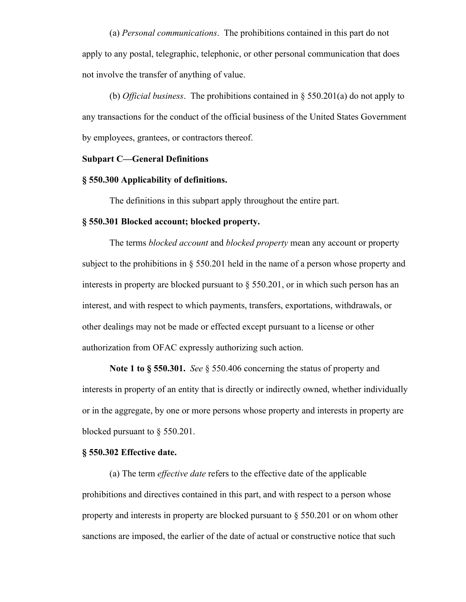(a) *Personal communications*. The prohibitions contained in this part do not apply to any postal, telegraphic, telephonic, or other personal communication that does not involve the transfer of anything of value.

(b) *Official business*. The prohibitions contained in § 550.201(a) do not apply to any transactions for the conduct of the official business of the United States Government by employees, grantees, or contractors thereof.

## **Subpart C—General Definitions**

## **§ 550.300 Applicability of definitions.**

The definitions in this subpart apply throughout the entire part.

#### **§ 550.301 Blocked account; blocked property.**

The terms *blocked account* and *blocked property* mean any account or property subject to the prohibitions in § 550.201 held in the name of a person whose property and interests in property are blocked pursuant to § 550.201, or in which such person has an interest, and with respect to which payments, transfers, exportations, withdrawals, or other dealings may not be made or effected except pursuant to a license or other authorization from OFAC expressly authorizing such action.

**Note 1 to § 550.301.** *See* § 550.406 concerning the status of property and interests in property of an entity that is directly or indirectly owned, whether individually or in the aggregate, by one or more persons whose property and interests in property are blocked pursuant to § 550.201.

## **§ 550.302 Effective date.**

(a) The term *effective date* refers to the effective date of the applicable prohibitions and directives contained in this part, and with respect to a person whose property and interests in property are blocked pursuant to § 550.201 or on whom other sanctions are imposed, the earlier of the date of actual or constructive notice that such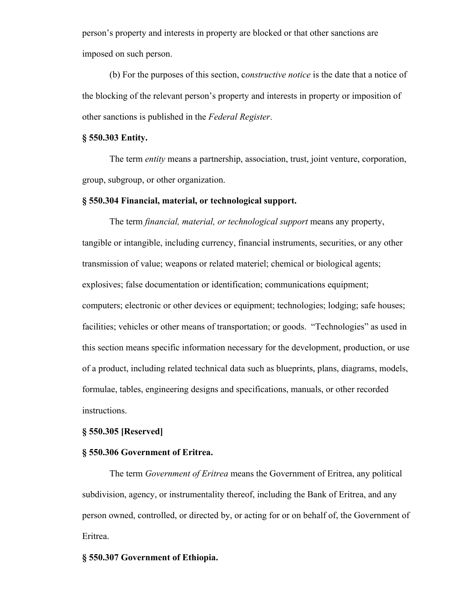person's property and interests in property are blocked or that other sanctions are imposed on such person.

(b) For the purposes of this section, c*onstructive notice* is the date that a notice of the blocking of the relevant person's property and interests in property or imposition of other sanctions is published in the *Federal Register*.

## **§ 550.303 Entity.**

The term *entity* means a partnership, association, trust, joint venture, corporation, group, subgroup, or other organization.

#### **§ 550.304 Financial, material, or technological support.**

The term *financial, material, or technological support* means any property, tangible or intangible, including currency, financial instruments, securities, or any other transmission of value; weapons or related materiel; chemical or biological agents; explosives; false documentation or identification; communications equipment; computers; electronic or other devices or equipment; technologies; lodging; safe houses; facilities; vehicles or other means of transportation; or goods. "Technologies" as used in this section means specific information necessary for the development, production, or use of a product, including related technical data such as blueprints, plans, diagrams, models, formulae, tables, engineering designs and specifications, manuals, or other recorded instructions.

#### **§ 550.305 [Reserved]**

#### **§ 550.306 Government of Eritrea.**

The term *Government of Eritrea* means the Government of Eritrea, any political subdivision, agency, or instrumentality thereof, including the Bank of Eritrea, and any person owned, controlled, or directed by, or acting for or on behalf of, the Government of Eritrea.

#### **§ 550.307 Government of Ethiopia.**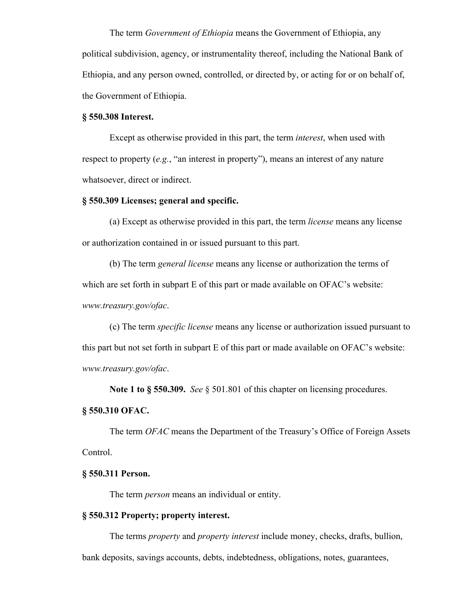The term *Government of Ethiopia* means the Government of Ethiopia, any political subdivision, agency, or instrumentality thereof, including the National Bank of Ethiopia, and any person owned, controlled, or directed by, or acting for or on behalf of, the Government of Ethiopia.

### **§ 550.308 Interest.**

Except as otherwise provided in this part, the term *interest*, when used with respect to property (*e.g.*, "an interest in property"), means an interest of any nature whatsoever, direct or indirect.

### **§ 550.309 Licenses; general and specific.**

(a) Except as otherwise provided in this part, the term *license* means any license or authorization contained in or issued pursuant to this part.

(b) The term *general license* means any license or authorization the terms of which are set forth in subpart E of this part or made available on OFAC's website: *www.treasury.gov/ofac*.

(c) The term *specific license* means any license or authorization issued pursuant to this part but not set forth in subpart E of this part or made available on OFAC's website: *www.treasury.gov/ofac*.

**Note 1 to § 550.309.** *See* § 501.801 of this chapter on licensing procedures.

## **§ 550.310 OFAC.**

The term *OFAC* means the Department of the Treasury's Office of Foreign Assets Control.

#### **§ 550.311 Person.**

The term *person* means an individual or entity.

#### **§ 550.312 Property; property interest.**

The terms *property* and *property interest* include money, checks, drafts, bullion, bank deposits, savings accounts, debts, indebtedness, obligations, notes, guarantees,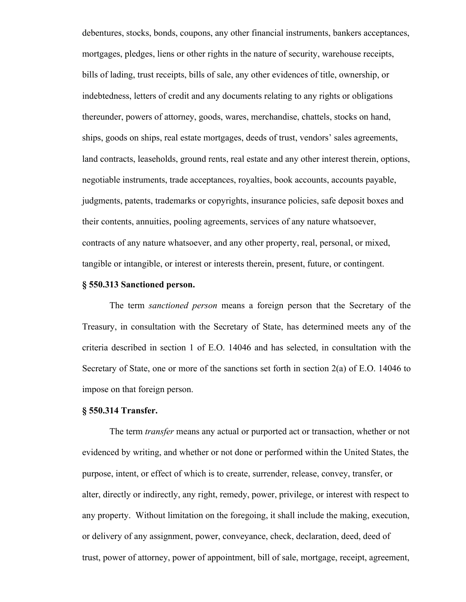debentures, stocks, bonds, coupons, any other financial instruments, bankers acceptances, mortgages, pledges, liens or other rights in the nature of security, warehouse receipts, bills of lading, trust receipts, bills of sale, any other evidences of title, ownership, or indebtedness, letters of credit and any documents relating to any rights or obligations thereunder, powers of attorney, goods, wares, merchandise, chattels, stocks on hand, ships, goods on ships, real estate mortgages, deeds of trust, vendors' sales agreements, land contracts, leaseholds, ground rents, real estate and any other interest therein, options, negotiable instruments, trade acceptances, royalties, book accounts, accounts payable, judgments, patents, trademarks or copyrights, insurance policies, safe deposit boxes and their contents, annuities, pooling agreements, services of any nature whatsoever, contracts of any nature whatsoever, and any other property, real, personal, or mixed, tangible or intangible, or interest or interests therein, present, future, or contingent.

## **§ 550.313 Sanctioned person.**

The term *sanctioned person* means a foreign person that the Secretary of the Treasury, in consultation with the Secretary of State, has determined meets any of the criteria described in section 1 of E.O. 14046 and has selected, in consultation with the Secretary of State, one or more of the sanctions set forth in section 2(a) of E.O. 14046 to impose on that foreign person.

## **§ 550.314 Transfer.**

The term *transfer* means any actual or purported act or transaction, whether or not evidenced by writing, and whether or not done or performed within the United States, the purpose, intent, or effect of which is to create, surrender, release, convey, transfer, or alter, directly or indirectly, any right, remedy, power, privilege, or interest with respect to any property. Without limitation on the foregoing, it shall include the making, execution, or delivery of any assignment, power, conveyance, check, declaration, deed, deed of trust, power of attorney, power of appointment, bill of sale, mortgage, receipt, agreement,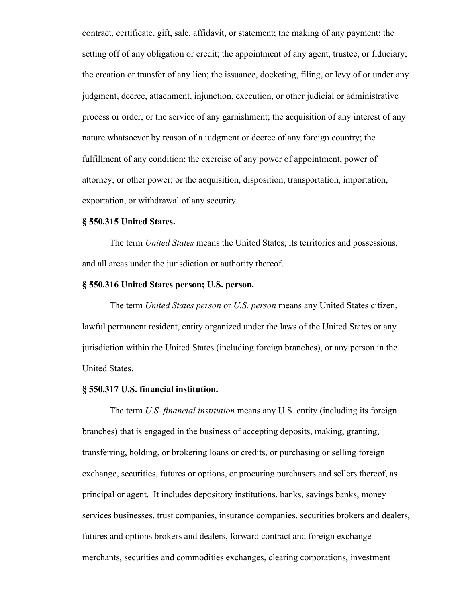contract, certificate, gift, sale, affidavit, or statement; the making of any payment; the setting off of any obligation or credit; the appointment of any agent, trustee, or fiduciary; the creation or transfer of any lien; the issuance, docketing, filing, or levy of or under any judgment, decree, attachment, injunction, execution, or other judicial or administrative process or order, or the service of any garnishment; the acquisition of any interest of any nature whatsoever by reason of a judgment or decree of any foreign country; the fulfillment of any condition; the exercise of any power of appointment, power of attorney, or other power; or the acquisition, disposition, transportation, importation, exportation, or withdrawal of any security.

## **§ 550.315 United States.**

The term *United States* means the United States, its territories and possessions, and all areas under the jurisdiction or authority thereof.

## **§ 550.316 United States person; U.S. person.**

The term *United States person* or *U.S. person* means any United States citizen, lawful permanent resident, entity organized under the laws of the United States or any jurisdiction within the United States (including foreign branches), or any person in the United States.

## **§ 550.317 U.S. financial institution.**

The term *U.S. financial institution* means any U.S. entity (including its foreign branches) that is engaged in the business of accepting deposits, making, granting, transferring, holding, or brokering loans or credits, or purchasing or selling foreign exchange, securities, futures or options, or procuring purchasers and sellers thereof, as principal or agent. It includes depository institutions, banks, savings banks, money services businesses, trust companies, insurance companies, securities brokers and dealers, futures and options brokers and dealers, forward contract and foreign exchange merchants, securities and commodities exchanges, clearing corporations, investment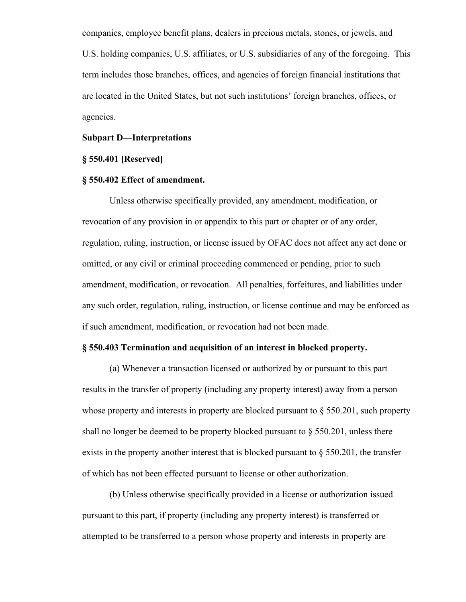companies, employee benefit plans, dealers in precious metals, stones, or jewels, and U.S. holding companies, U.S. affiliates, or U.S. subsidiaries of any of the foregoing. This term includes those branches, offices, and agencies of foreign financial institutions that are located in the United States, but not such institutions' foreign branches, offices, or agencies.

## **Subpart D—Interpretations**

## **§ 550.401 [Reserved]**

## **§ 550.402 Effect of amendment.**

Unless otherwise specifically provided, any amendment, modification, or revocation of any provision in or appendix to this part or chapter or of any order, regulation, ruling, instruction, or license issued by OFAC does not affect any act done or omitted, or any civil or criminal proceeding commenced or pending, prior to such amendment, modification, or revocation. All penalties, forfeitures, and liabilities under any such order, regulation, ruling, instruction, or license continue and may be enforced as if such amendment, modification, or revocation had not been made.

## **§ 550.403 Termination and acquisition of an interest in blocked property.**

(a) Whenever a transaction licensed or authorized by or pursuant to this part results in the transfer of property (including any property interest) away from a person whose property and interests in property are blocked pursuant to  $\S 550.201$ , such property shall no longer be deemed to be property blocked pursuant to  $\S 550.201$ , unless there exists in the property another interest that is blocked pursuant to § 550.201, the transfer of which has not been effected pursuant to license or other authorization.

(b) Unless otherwise specifically provided in a license or authorization issued pursuant to this part, if property (including any property interest) is transferred or attempted to be transferred to a person whose property and interests in property are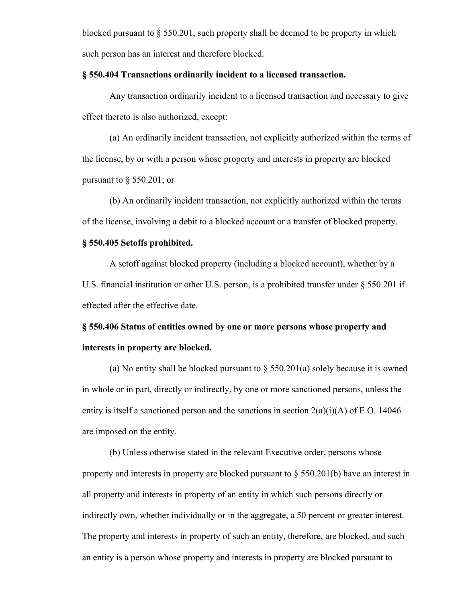blocked pursuant to § 550.201, such property shall be deemed to be property in which such person has an interest and therefore blocked.

## **§ 550.404 Transactions ordinarily incident to a licensed transaction.**

Any transaction ordinarily incident to a licensed transaction and necessary to give effect thereto is also authorized, except:

(a) An ordinarily incident transaction, not explicitly authorized within the terms of the license, by or with a person whose property and interests in property are blocked pursuant to  $\S$  550.201; or

(b) An ordinarily incident transaction, not explicitly authorized within the terms of the license, involving a debit to a blocked account or a transfer of blocked property.

## **§ 550.405 Setoffs prohibited.**

A setoff against blocked property (including a blocked account), whether by a U.S. financial institution or other U.S. person, is a prohibited transfer under § 550.201 if effected after the effective date.

**§ 550.406 Status of entities owned by one or more persons whose property and interests in property are blocked.**

(a) No entity shall be blocked pursuant to  $\S 550.201(a)$  solely because it is owned in whole or in part, directly or indirectly, by one or more sanctioned persons, unless the entity is itself a sanctioned person and the sanctions in section 2(a)(i)(A) of E.O. 14046 are imposed on the entity.

(b) Unless otherwise stated in the relevant Executive order, persons whose property and interests in property are blocked pursuant to § 550.201(b) have an interest in all property and interests in property of an entity in which such persons directly or indirectly own, whether individually or in the aggregate, a 50 percent or greater interest. The property and interests in property of such an entity, therefore, are blocked, and such an entity is a person whose property and interests in property are blocked pursuant to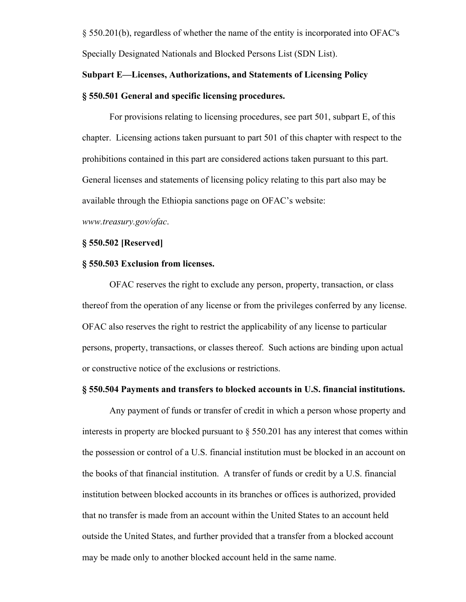§ 550.201(b), regardless of whether the name of the entity is incorporated into OFAC's Specially Designated Nationals and Blocked Persons List (SDN List).

# **Subpart E—Licenses, Authorizations, and Statements of Licensing Policy § 550.501 General and specific licensing procedures.**

For provisions relating to licensing procedures, see part 501, subpart E, of this chapter. Licensing actions taken pursuant to part 501 of this chapter with respect to the prohibitions contained in this part are considered actions taken pursuant to this part. General licenses and statements of licensing policy relating to this part also may be available through the Ethiopia sanctions page on OFAC's website:

*www.treasury.gov/ofac*.

## **§ 550.502 [Reserved]**

## **§ 550.503 Exclusion from licenses.**

OFAC reserves the right to exclude any person, property, transaction, or class thereof from the operation of any license or from the privileges conferred by any license. OFAC also reserves the right to restrict the applicability of any license to particular persons, property, transactions, or classes thereof. Such actions are binding upon actual or constructive notice of the exclusions or restrictions.

## **§ 550.504 Payments and transfers to blocked accounts in U.S. financial institutions.**

Any payment of funds or transfer of credit in which a person whose property and interests in property are blocked pursuant to  $\S 550.201$  has any interest that comes within the possession or control of a U.S. financial institution must be blocked in an account on the books of that financial institution. A transfer of funds or credit by a U.S. financial institution between blocked accounts in its branches or offices is authorized, provided that no transfer is made from an account within the United States to an account held outside the United States, and further provided that a transfer from a blocked account may be made only to another blocked account held in the same name.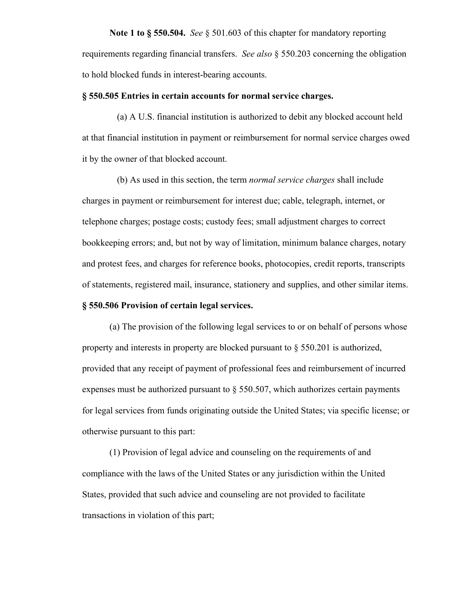**Note 1 to § 550.504.** *See* § 501.603 of this chapter for mandatory reporting requirements regarding financial transfers. *See also* § 550.203 concerning the obligation to hold blocked funds in interest-bearing accounts.

## **§ 550.505 Entries in certain accounts for normal service charges.**

(a) A U.S. financial institution is authorized to debit any blocked account held at that financial institution in payment or reimbursement for normal service charges owed it by the owner of that blocked account.

(b) As used in this section, the term *normal service charges* shall include charges in payment or reimbursement for interest due; cable, telegraph, internet, or telephone charges; postage costs; custody fees; small adjustment charges to correct bookkeeping errors; and, but not by way of limitation, minimum balance charges, notary and protest fees, and charges for reference books, photocopies, credit reports, transcripts of statements, registered mail, insurance, stationery and supplies, and other similar items.

## **§ 550.506 Provision of certain legal services.**

(a) The provision of the following legal services to or on behalf of persons whose property and interests in property are blocked pursuant to § 550.201 is authorized, provided that any receipt of payment of professional fees and reimbursement of incurred expenses must be authorized pursuant to  $\S$  550.507, which authorizes certain payments for legal services from funds originating outside the United States; via specific license; or otherwise pursuant to this part:

(1) Provision of legal advice and counseling on the requirements of and compliance with the laws of the United States or any jurisdiction within the United States, provided that such advice and counseling are not provided to facilitate transactions in violation of this part;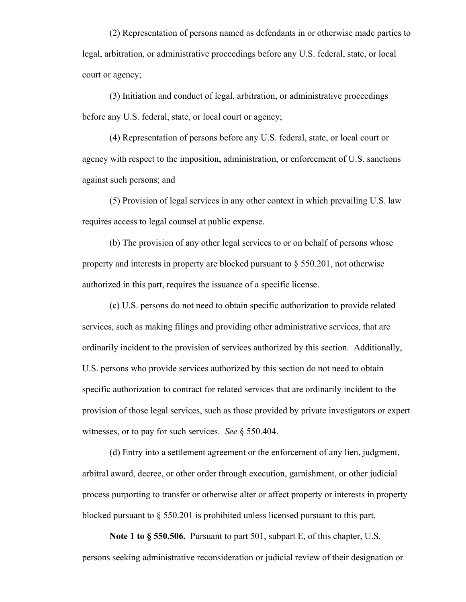(2) Representation of persons named as defendants in or otherwise made parties to legal, arbitration, or administrative proceedings before any U.S. federal, state, or local court or agency;

(3) Initiation and conduct of legal, arbitration, or administrative proceedings before any U.S. federal, state, or local court or agency;

(4) Representation of persons before any U.S. federal, state, or local court or agency with respect to the imposition, administration, or enforcement of U.S. sanctions against such persons; and

(5) Provision of legal services in any other context in which prevailing U.S. law requires access to legal counsel at public expense.

(b) The provision of any other legal services to or on behalf of persons whose property and interests in property are blocked pursuant to § 550.201, not otherwise authorized in this part, requires the issuance of a specific license.

(c) U.S. persons do not need to obtain specific authorization to provide related services, such as making filings and providing other administrative services, that are ordinarily incident to the provision of services authorized by this section. Additionally, U.S. persons who provide services authorized by this section do not need to obtain specific authorization to contract for related services that are ordinarily incident to the provision of those legal services, such as those provided by private investigators or expert witnesses, or to pay for such services. *See* § 550.404.

(d) Entry into a settlement agreement or the enforcement of any lien, judgment, arbitral award, decree, or other order through execution, garnishment, or other judicial process purporting to transfer or otherwise alter or affect property or interests in property blocked pursuant to § 550.201 is prohibited unless licensed pursuant to this part.

**Note 1 to § 550.506.** Pursuant to part 501, subpart E, of this chapter, U.S. persons seeking administrative reconsideration or judicial review of their designation or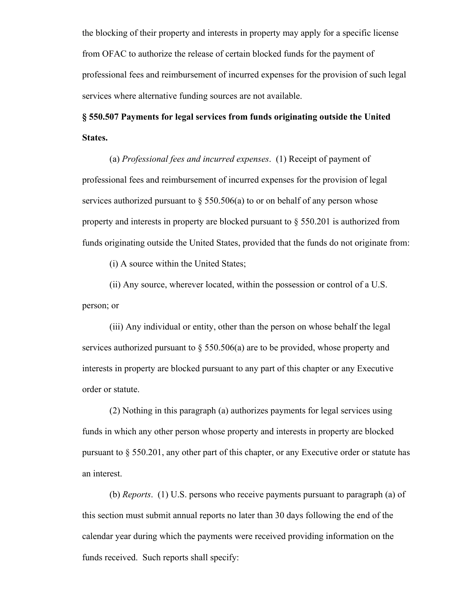the blocking of their property and interests in property may apply for a specific license from OFAC to authorize the release of certain blocked funds for the payment of professional fees and reimbursement of incurred expenses for the provision of such legal services where alternative funding sources are not available.

# **§ 550.507 Payments for legal services from funds originating outside the United States.**

(a) *Professional fees and incurred expenses*. (1) Receipt of payment of professional fees and reimbursement of incurred expenses for the provision of legal services authorized pursuant to  $\S$  550.506(a) to or on behalf of any person whose property and interests in property are blocked pursuant to § 550.201 is authorized from funds originating outside the United States, provided that the funds do not originate from:

(i) A source within the United States;

(ii) Any source, wherever located, within the possession or control of a U.S. person; or

(iii) Any individual or entity, other than the person on whose behalf the legal services authorized pursuant to  $\S 550.506(a)$  are to be provided, whose property and interests in property are blocked pursuant to any part of this chapter or any Executive order or statute.

(2) Nothing in this paragraph (a) authorizes payments for legal services using funds in which any other person whose property and interests in property are blocked pursuant to § 550.201, any other part of this chapter, or any Executive order or statute has an interest.

(b) *Reports*. (1) U.S. persons who receive payments pursuant to paragraph (a) of this section must submit annual reports no later than 30 days following the end of the calendar year during which the payments were received providing information on the funds received. Such reports shall specify: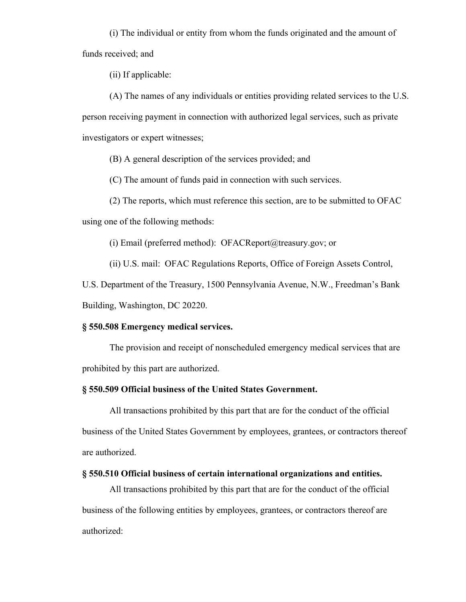(i) The individual or entity from whom the funds originated and the amount of funds received; and

(ii) If applicable:

(A) The names of any individuals or entities providing related services to the U.S. person receiving payment in connection with authorized legal services, such as private investigators or expert witnesses;

(B) A general description of the services provided; and

(C) The amount of funds paid in connection with such services.

(2) The reports, which must reference this section, are to be submitted to OFAC

using one of the following methods:

(i) Email (preferred method): OFACReport@treasury.gov; or

(ii) U.S. mail: OFAC Regulations Reports, Office of Foreign Assets Control,

U.S. Department of the Treasury, 1500 Pennsylvania Avenue, N.W., Freedman's Bank Building, Washington, DC 20220.

## **§ 550.508 Emergency medical services.**

The provision and receipt of nonscheduled emergency medical services that are prohibited by this part are authorized.

## **§ 550.509 Official business of the United States Government.**

All transactions prohibited by this part that are for the conduct of the official business of the United States Government by employees, grantees, or contractors thereof are authorized.

## **§ 550.510 Official business of certain international organizations and entities.**

All transactions prohibited by this part that are for the conduct of the official business of the following entities by employees, grantees, or contractors thereof are authorized: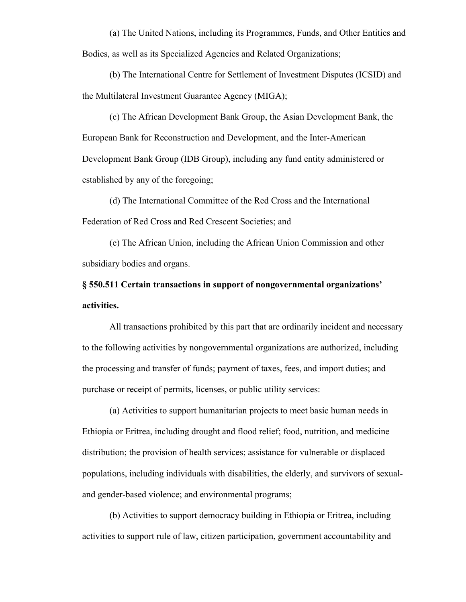(a) The United Nations, including its Programmes, Funds, and Other Entities and Bodies, as well as its Specialized Agencies and Related Organizations;

(b) The International Centre for Settlement of Investment Disputes (ICSID) and the Multilateral Investment Guarantee Agency (MIGA);

(c) The African Development Bank Group, the Asian Development Bank, the European Bank for Reconstruction and Development, and the Inter-American Development Bank Group (IDB Group), including any fund entity administered or established by any of the foregoing;

(d) The International Committee of the Red Cross and the International Federation of Red Cross and Red Crescent Societies; and

(e) The African Union, including the African Union Commission and other subsidiary bodies and organs.

**§ 550.511 Certain transactions in support of nongovernmental organizations' activities.**

All transactions prohibited by this part that are ordinarily incident and necessary to the following activities by nongovernmental organizations are authorized, including the processing and transfer of funds; payment of taxes, fees, and import duties; and purchase or receipt of permits, licenses, or public utility services:

(a) Activities to support humanitarian projects to meet basic human needs in Ethiopia or Eritrea, including drought and flood relief; food, nutrition, and medicine distribution; the provision of health services; assistance for vulnerable or displaced populations, including individuals with disabilities, the elderly, and survivors of sexualand gender-based violence; and environmental programs;

(b) Activities to support democracy building in Ethiopia or Eritrea, including activities to support rule of law, citizen participation, government accountability and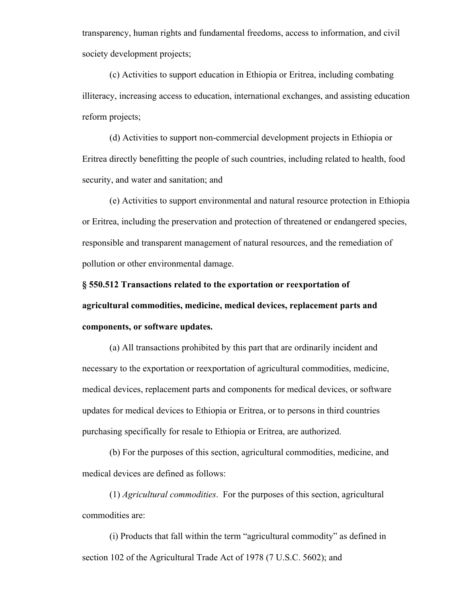transparency, human rights and fundamental freedoms, access to information, and civil society development projects;

(c) Activities to support education in Ethiopia or Eritrea, including combating illiteracy, increasing access to education, international exchanges, and assisting education reform projects;

(d) Activities to support non-commercial development projects in Ethiopia or Eritrea directly benefitting the people of such countries, including related to health, food security, and water and sanitation; and

(e) Activities to support environmental and natural resource protection in Ethiopia or Eritrea, including the preservation and protection of threatened or endangered species, responsible and transparent management of natural resources, and the remediation of pollution or other environmental damage.

**§ 550.512 Transactions related to the exportation or reexportation of agricultural commodities, medicine, medical devices, replacement parts and components, or software updates.**

(a) All transactions prohibited by this part that are ordinarily incident and necessary to the exportation or reexportation of agricultural commodities, medicine, medical devices, replacement parts and components for medical devices, or software updates for medical devices to Ethiopia or Eritrea, or to persons in third countries purchasing specifically for resale to Ethiopia or Eritrea, are authorized.

(b) For the purposes of this section, agricultural commodities, medicine, and medical devices are defined as follows:

(1) *Agricultural commodities*. For the purposes of this section, agricultural commodities are:

(i) Products that fall within the term "agricultural commodity" as defined in section 102 of the Agricultural Trade Act of 1978 (7 U.S.C. 5602); and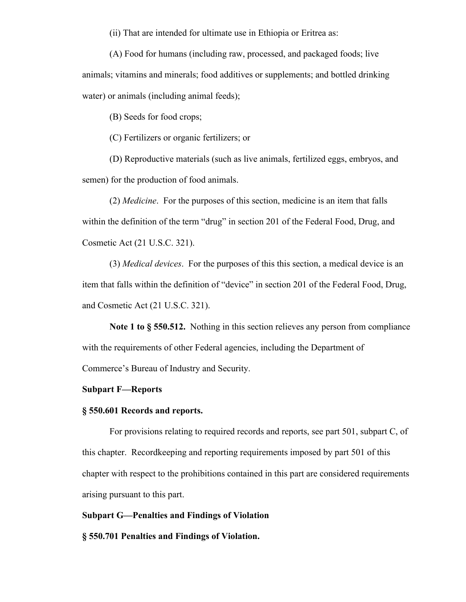(ii) That are intended for ultimate use in Ethiopia or Eritrea as:

(A) Food for humans (including raw, processed, and packaged foods; live animals; vitamins and minerals; food additives or supplements; and bottled drinking water) or animals (including animal feeds);

(B) Seeds for food crops;

(C) Fertilizers or organic fertilizers; or

(D) Reproductive materials (such as live animals, fertilized eggs, embryos, and semen) for the production of food animals.

(2) *Medicine*. For the purposes of this section, medicine is an item that falls within the definition of the term "drug" in section 201 of the Federal Food, Drug, and Cosmetic Act (21 U.S.C. 321).

(3) *Medical devices*. For the purposes of this this section, a medical device is an item that falls within the definition of "device" in section 201 of the Federal Food, Drug, and Cosmetic Act (21 U.S.C. 321).

**Note 1 to § 550.512.** Nothing in this section relieves any person from compliance with the requirements of other Federal agencies, including the Department of Commerce's Bureau of Industry and Security.

#### **Subpart F—Reports**

## **§ 550.601 Records and reports.**

For provisions relating to required records and reports, see part 501, subpart C, of this chapter. Recordkeeping and reporting requirements imposed by part 501 of this chapter with respect to the prohibitions contained in this part are considered requirements arising pursuant to this part.

### **Subpart G—Penalties and Findings of Violation**

**§ 550.701 Penalties and Findings of Violation.**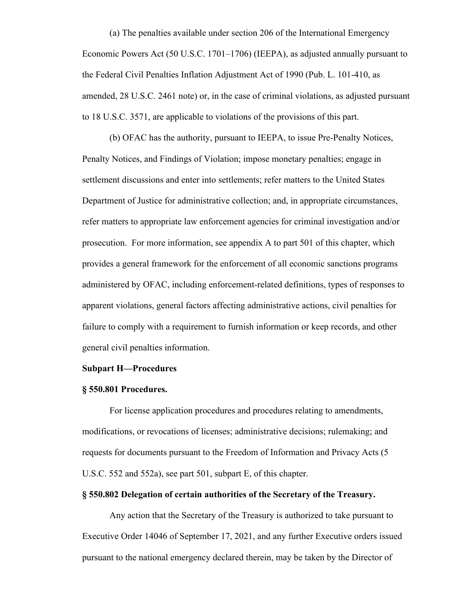(a) The penalties available under section 206 of the International Emergency Economic Powers Act (50 U.S.C. 1701–1706) (IEEPA), as adjusted annually pursuant to the Federal Civil Penalties Inflation Adjustment Act of 1990 (Pub. L. 101-410, as amended, 28 U.S.C. 2461 note) or, in the case of criminal violations, as adjusted pursuant to 18 U.S.C. 3571, are applicable to violations of the provisions of this part.

(b) OFAC has the authority, pursuant to IEEPA, to issue Pre-Penalty Notices, Penalty Notices, and Findings of Violation; impose monetary penalties; engage in settlement discussions and enter into settlements; refer matters to the United States Department of Justice for administrative collection; and, in appropriate circumstances, refer matters to appropriate law enforcement agencies for criminal investigation and/or prosecution. For more information, see appendix A to part 501 of this chapter, which provides a general framework for the enforcement of all economic sanctions programs administered by OFAC, including enforcement-related definitions, types of responses to apparent violations, general factors affecting administrative actions, civil penalties for failure to comply with a requirement to furnish information or keep records, and other general civil penalties information.

## **Subpart H—Procedures**

#### **§ 550.801 Procedures.**

For license application procedures and procedures relating to amendments, modifications, or revocations of licenses; administrative decisions; rulemaking; and requests for documents pursuant to the Freedom of Information and Privacy Acts (5 U.S.C. 552 and 552a), see part 501, subpart E, of this chapter.

#### **§ 550.802 Delegation of certain authorities of the Secretary of the Treasury.**

Any action that the Secretary of the Treasury is authorized to take pursuant to Executive Order 14046 of September 17, 2021, and any further Executive orders issued pursuant to the national emergency declared therein, may be taken by the Director of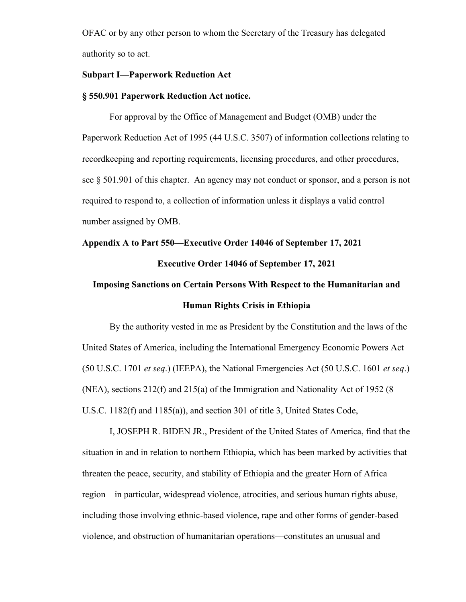OFAC or by any other person to whom the Secretary of the Treasury has delegated authority so to act.

## **Subpart I—Paperwork Reduction Act**

#### **§ 550.901 Paperwork Reduction Act notice.**

For approval by the Office of Management and Budget (OMB) under the Paperwork Reduction Act of 1995 (44 U.S.C. 3507) of information collections relating to recordkeeping and reporting requirements, licensing procedures, and other procedures, see § 501.901 of this chapter. An agency may not conduct or sponsor, and a person is not required to respond to, a collection of information unless it displays a valid control number assigned by OMB.

# **Appendix A to Part 550—Executive Order 14046 of September 17, 2021 Executive Order 14046 of September 17, 2021**

# **Imposing Sanctions on Certain Persons With Respect to the Humanitarian and Human Rights Crisis in Ethiopia**

By the authority vested in me as President by the Constitution and the laws of the United States of America, including the International Emergency Economic Powers Act (50 U.S.C. 1701 *et seq*.) (IEEPA), the National Emergencies Act (50 U.S.C. 1601 *et seq*.) (NEA), sections 212(f) and 215(a) of the Immigration and Nationality Act of 1952 (8 U.S.C. 1182(f) and 1185(a)), and section 301 of title 3, United States Code,

I, JOSEPH R. BIDEN JR., President of the United States of America, find that the situation in and in relation to northern Ethiopia, which has been marked by activities that threaten the peace, security, and stability of Ethiopia and the greater Horn of Africa region—in particular, widespread violence, atrocities, and serious human rights abuse, including those involving ethnic-based violence, rape and other forms of gender-based violence, and obstruction of humanitarian operations—constitutes an unusual and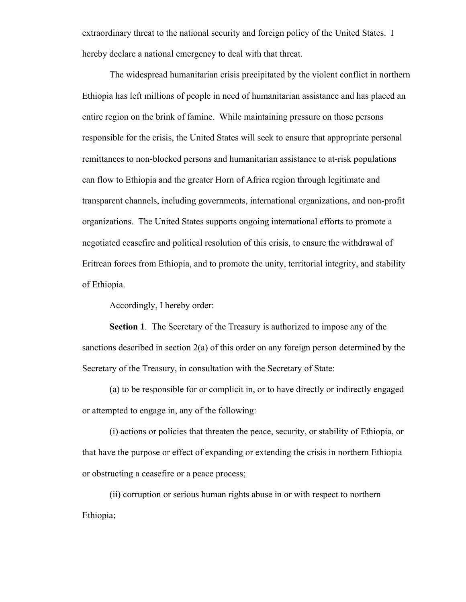extraordinary threat to the national security and foreign policy of the United States. I hereby declare a national emergency to deal with that threat.

The widespread humanitarian crisis precipitated by the violent conflict in northern Ethiopia has left millions of people in need of humanitarian assistance and has placed an entire region on the brink of famine. While maintaining pressure on those persons responsible for the crisis, the United States will seek to ensure that appropriate personal remittances to non-blocked persons and humanitarian assistance to at-risk populations can flow to Ethiopia and the greater Horn of Africa region through legitimate and transparent channels, including governments, international organizations, and non-profit organizations. The United States supports ongoing international efforts to promote a negotiated ceasefire and political resolution of this crisis, to ensure the withdrawal of Eritrean forces from Ethiopia, and to promote the unity, territorial integrity, and stability of Ethiopia.

Accordingly, I hereby order:

**Section 1**. The Secretary of the Treasury is authorized to impose any of the sanctions described in section 2(a) of this order on any foreign person determined by the Secretary of the Treasury, in consultation with the Secretary of State:

(a) to be responsible for or complicit in, or to have directly or indirectly engaged or attempted to engage in, any of the following:

(i) actions or policies that threaten the peace, security, or stability of Ethiopia, or that have the purpose or effect of expanding or extending the crisis in northern Ethiopia or obstructing a ceasefire or a peace process;

(ii) corruption or serious human rights abuse in or with respect to northern Ethiopia;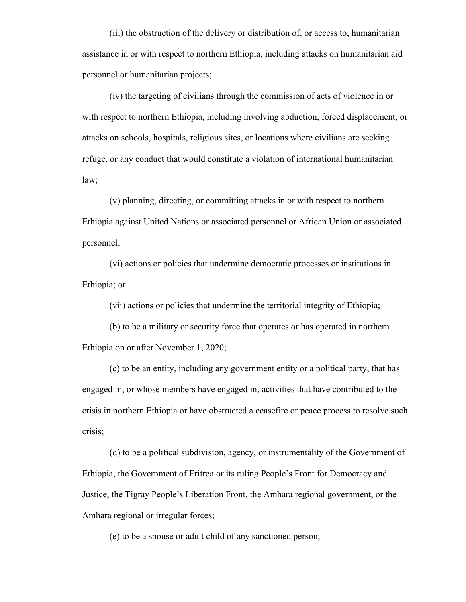(iii) the obstruction of the delivery or distribution of, or access to, humanitarian assistance in or with respect to northern Ethiopia, including attacks on humanitarian aid personnel or humanitarian projects;

(iv) the targeting of civilians through the commission of acts of violence in or with respect to northern Ethiopia, including involving abduction, forced displacement, or attacks on schools, hospitals, religious sites, or locations where civilians are seeking refuge, or any conduct that would constitute a violation of international humanitarian law;

(v) planning, directing, or committing attacks in or with respect to northern Ethiopia against United Nations or associated personnel or African Union or associated personnel;

(vi) actions or policies that undermine democratic processes or institutions in Ethiopia; or

(vii) actions or policies that undermine the territorial integrity of Ethiopia;

(b) to be a military or security force that operates or has operated in northern Ethiopia on or after November 1, 2020;

(c) to be an entity, including any government entity or a political party, that has engaged in, or whose members have engaged in, activities that have contributed to the crisis in northern Ethiopia or have obstructed a ceasefire or peace process to resolve such crisis;

(d) to be a political subdivision, agency, or instrumentality of the Government of Ethiopia, the Government of Eritrea or its ruling People's Front for Democracy and Justice, the Tigray People's Liberation Front, the Amhara regional government, or the Amhara regional or irregular forces;

(e) to be a spouse or adult child of any sanctioned person;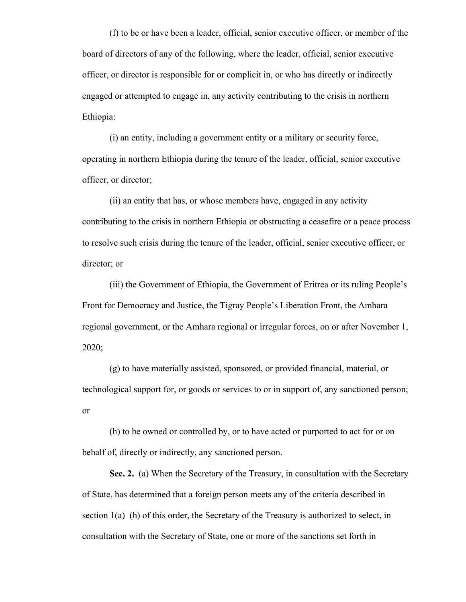(f) to be or have been a leader, official, senior executive officer, or member of the board of directors of any of the following, where the leader, official, senior executive officer, or director is responsible for or complicit in, or who has directly or indirectly engaged or attempted to engage in, any activity contributing to the crisis in northern Ethiopia:

(i) an entity, including a government entity or a military or security force, operating in northern Ethiopia during the tenure of the leader, official, senior executive officer, or director;

(ii) an entity that has, or whose members have, engaged in any activity contributing to the crisis in northern Ethiopia or obstructing a ceasefire or a peace process to resolve such crisis during the tenure of the leader, official, senior executive officer, or director; or

(iii) the Government of Ethiopia, the Government of Eritrea or its ruling People's Front for Democracy and Justice, the Tigray People's Liberation Front, the Amhara regional government, or the Amhara regional or irregular forces, on or after November 1, 2020;

(g) to have materially assisted, sponsored, or provided financial, material, or technological support for, or goods or services to or in support of, any sanctioned person; or

(h) to be owned or controlled by, or to have acted or purported to act for or on behalf of, directly or indirectly, any sanctioned person.

**Sec. 2.** (a) When the Secretary of the Treasury, in consultation with the Secretary of State, has determined that a foreign person meets any of the criteria described in section  $1(a)$ –(h) of this order, the Secretary of the Treasury is authorized to select, in consultation with the Secretary of State, one or more of the sanctions set forth in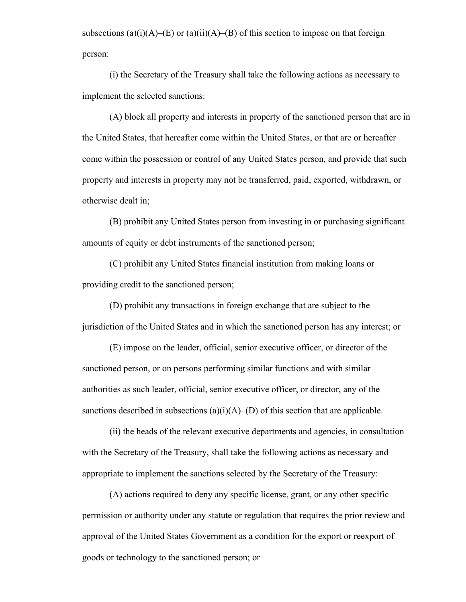subsections (a)(i)(A)–(E) or (a)(ii)(A)–(B) of this section to impose on that foreign person:

(i) the Secretary of the Treasury shall take the following actions as necessary to implement the selected sanctions:

(A) block all property and interests in property of the sanctioned person that are in the United States, that hereafter come within the United States, or that are or hereafter come within the possession or control of any United States person, and provide that such property and interests in property may not be transferred, paid, exported, withdrawn, or otherwise dealt in;

(B) prohibit any United States person from investing in or purchasing significant amounts of equity or debt instruments of the sanctioned person;

(C) prohibit any United States financial institution from making loans or providing credit to the sanctioned person;

(D) prohibit any transactions in foreign exchange that are subject to the jurisdiction of the United States and in which the sanctioned person has any interest; or

(E) impose on the leader, official, senior executive officer, or director of the sanctioned person, or on persons performing similar functions and with similar authorities as such leader, official, senior executive officer, or director, any of the sanctions described in subsections  $(a)(i)(A)$ –(D) of this section that are applicable.

(ii) the heads of the relevant executive departments and agencies, in consultation with the Secretary of the Treasury, shall take the following actions as necessary and appropriate to implement the sanctions selected by the Secretary of the Treasury:

(A) actions required to deny any specific license, grant, or any other specific permission or authority under any statute or regulation that requires the prior review and approval of the United States Government as a condition for the export or reexport of goods or technology to the sanctioned person; or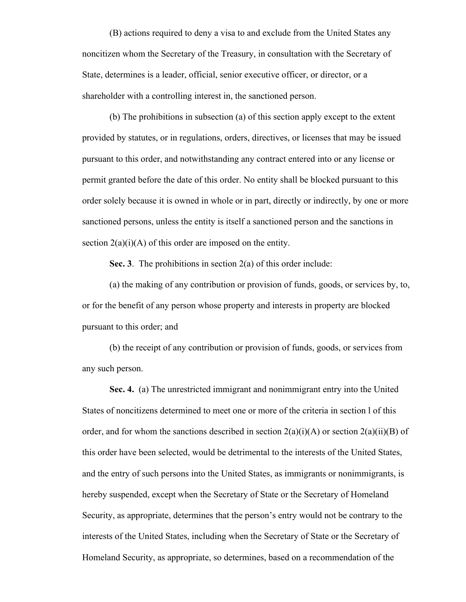(B) actions required to deny a visa to and exclude from the United States any noncitizen whom the Secretary of the Treasury, in consultation with the Secretary of State, determines is a leader, official, senior executive officer, or director, or a shareholder with a controlling interest in, the sanctioned person.

(b) The prohibitions in subsection (a) of this section apply except to the extent provided by statutes, or in regulations, orders, directives, or licenses that may be issued pursuant to this order, and notwithstanding any contract entered into or any license or permit granted before the date of this order. No entity shall be blocked pursuant to this order solely because it is owned in whole or in part, directly or indirectly, by one or more sanctioned persons, unless the entity is itself a sanctioned person and the sanctions in section  $2(a)(i)(A)$  of this order are imposed on the entity.

**Sec. 3**. The prohibitions in section 2(a) of this order include:

(a) the making of any contribution or provision of funds, goods, or services by, to, or for the benefit of any person whose property and interests in property are blocked pursuant to this order; and

(b) the receipt of any contribution or provision of funds, goods, or services from any such person.

**Sec. 4.** (a) The unrestricted immigrant and nonimmigrant entry into the United States of noncitizens determined to meet one or more of the criteria in section l of this order, and for whom the sanctions described in section  $2(a)(i)(A)$  or section  $2(a)(ii)(B)$  of this order have been selected, would be detrimental to the interests of the United States, and the entry of such persons into the United States, as immigrants or nonimmigrants, is hereby suspended, except when the Secretary of State or the Secretary of Homeland Security, as appropriate, determines that the person's entry would not be contrary to the interests of the United States, including when the Secretary of State or the Secretary of Homeland Security, as appropriate, so determines, based on a recommendation of the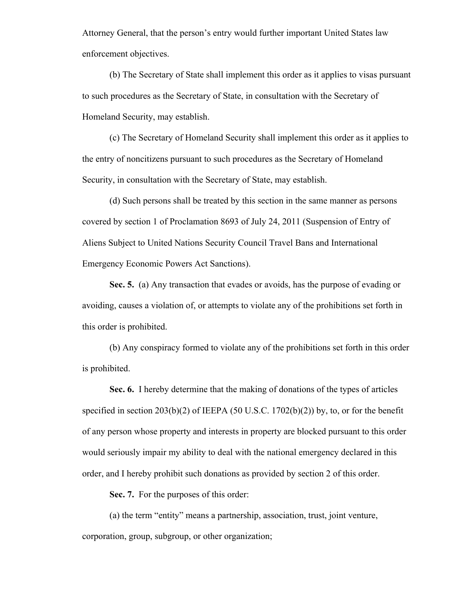Attorney General, that the person's entry would further important United States law enforcement objectives.

(b) The Secretary of State shall implement this order as it applies to visas pursuant to such procedures as the Secretary of State, in consultation with the Secretary of Homeland Security, may establish.

(c) The Secretary of Homeland Security shall implement this order as it applies to the entry of noncitizens pursuant to such procedures as the Secretary of Homeland Security, in consultation with the Secretary of State, may establish.

(d) Such persons shall be treated by this section in the same manner as persons covered by section 1 of Proclamation 8693 of July 24, 2011 (Suspension of Entry of Aliens Subject to United Nations Security Council Travel Bans and International Emergency Economic Powers Act Sanctions).

**Sec. 5.** (a) Any transaction that evades or avoids, has the purpose of evading or avoiding, causes a violation of, or attempts to violate any of the prohibitions set forth in this order is prohibited.

(b) Any conspiracy formed to violate any of the prohibitions set forth in this order is prohibited.

**Sec. 6.** I hereby determine that the making of donations of the types of articles specified in section  $203(b)(2)$  of IEEPA (50 U.S.C. 1702(b)(2)) by, to, or for the benefit of any person whose property and interests in property are blocked pursuant to this order would seriously impair my ability to deal with the national emergency declared in this order, and I hereby prohibit such donations as provided by section 2 of this order.

**Sec. 7.** For the purposes of this order:

(a) the term "entity" means a partnership, association, trust, joint venture, corporation, group, subgroup, or other organization;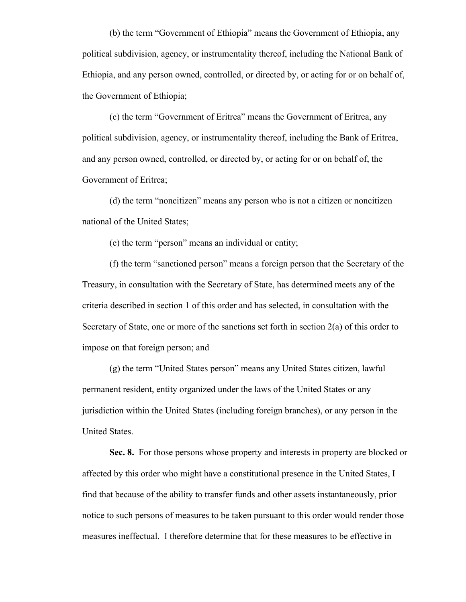(b) the term "Government of Ethiopia" means the Government of Ethiopia, any political subdivision, agency, or instrumentality thereof, including the National Bank of Ethiopia, and any person owned, controlled, or directed by, or acting for or on behalf of, the Government of Ethiopia;

(c) the term "Government of Eritrea" means the Government of Eritrea, any political subdivision, agency, or instrumentality thereof, including the Bank of Eritrea, and any person owned, controlled, or directed by, or acting for or on behalf of, the Government of Eritrea;

(d) the term "noncitizen" means any person who is not a citizen or noncitizen national of the United States;

(e) the term "person" means an individual or entity;

(f) the term "sanctioned person" means a foreign person that the Secretary of the Treasury, in consultation with the Secretary of State, has determined meets any of the criteria described in section 1 of this order and has selected, in consultation with the Secretary of State, one or more of the sanctions set forth in section 2(a) of this order to impose on that foreign person; and

(g) the term "United States person" means any United States citizen, lawful permanent resident, entity organized under the laws of the United States or any jurisdiction within the United States (including foreign branches), or any person in the United States.

**Sec. 8.** For those persons whose property and interests in property are blocked or affected by this order who might have a constitutional presence in the United States, I find that because of the ability to transfer funds and other assets instantaneously, prior notice to such persons of measures to be taken pursuant to this order would render those measures ineffectual. I therefore determine that for these measures to be effective in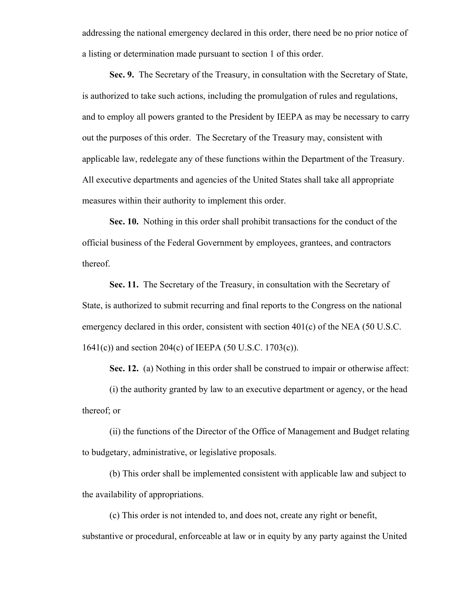addressing the national emergency declared in this order, there need be no prior notice of a listing or determination made pursuant to section 1 of this order.

**Sec. 9.** The Secretary of the Treasury, in consultation with the Secretary of State, is authorized to take such actions, including the promulgation of rules and regulations, and to employ all powers granted to the President by IEEPA as may be necessary to carry out the purposes of this order. The Secretary of the Treasury may, consistent with applicable law, redelegate any of these functions within the Department of the Treasury. All executive departments and agencies of the United States shall take all appropriate measures within their authority to implement this order.

**Sec. 10.** Nothing in this order shall prohibit transactions for the conduct of the official business of the Federal Government by employees, grantees, and contractors thereof.

**Sec. 11.** The Secretary of the Treasury, in consultation with the Secretary of State, is authorized to submit recurring and final reports to the Congress on the national emergency declared in this order, consistent with section 401(c) of the NEA (50 U.S.C. 1641(c)) and section 204(c) of IEEPA (50 U.S.C. 1703(c)).

**Sec. 12.** (a) Nothing in this order shall be construed to impair or otherwise affect:

(i) the authority granted by law to an executive department or agency, or the head thereof; or

(ii) the functions of the Director of the Office of Management and Budget relating to budgetary, administrative, or legislative proposals.

(b) This order shall be implemented consistent with applicable law and subject to the availability of appropriations.

(c) This order is not intended to, and does not, create any right or benefit, substantive or procedural, enforceable at law or in equity by any party against the United